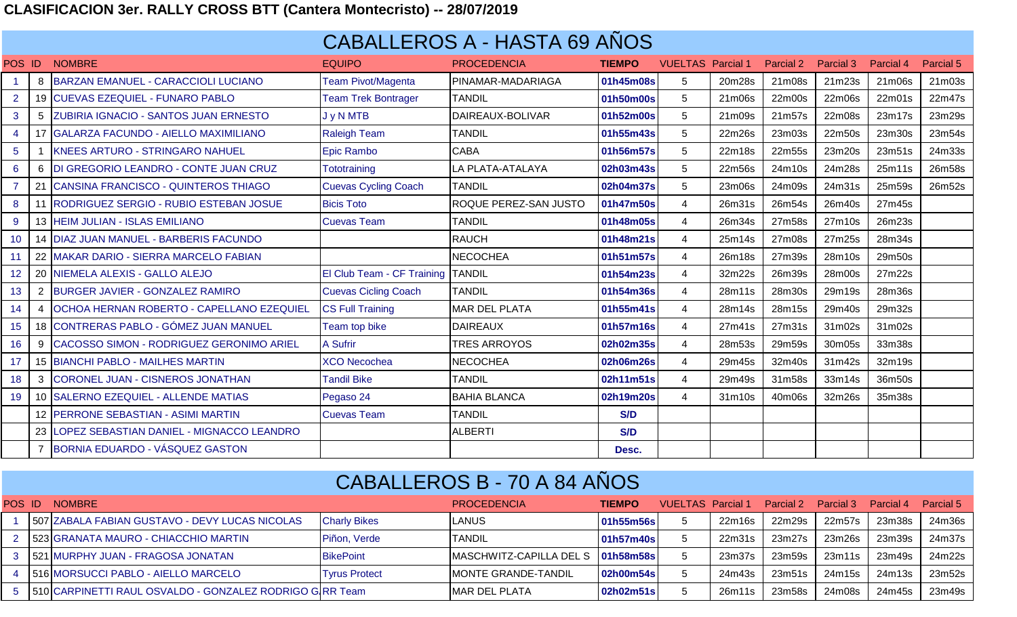## **CLASIFICACION 3er. RALLY CROSS BTT (Cantera Montecristo) -- 28/07/2019**

## CABALLEROS A - HASTA 69 AÑOS

| POS                  | ID           | <b>NOMBRE</b>                                 | <b>EQUIPO</b>               | <b>PROCEDENCIA</b>           | <b>TIEMPO</b> | <b>VUELTAS</b>  | <b>Parcial 1</b> | Parcial 2 | Parcial 3 | Parcial 4 | <b>Parcial 5</b> |
|----------------------|--------------|-----------------------------------------------|-----------------------------|------------------------------|---------------|-----------------|------------------|-----------|-----------|-----------|------------------|
| $\blacktriangleleft$ | 8            | <b>BARZAN EMANUEL - CARACCIOLI LUCIANO</b>    | <b>Team Pivot/Magenta</b>   | PINAMAR-MADARIAGA            | 01h45m08s     | 5               | 20m28s           | 21m08s    | 21m23s    | 21m06s    | 21m03s           |
| $\overline{2}$       |              | 19 CUEVAS EZEQUIEL - FUNARO PABLO             | <b>Team Trek Bontrager</b>  | <b>TANDIL</b>                | 01h50m00s     | $5\phantom{.0}$ | 21m06s           | 22m00s    | 22m06s    | 22m01s    | 22m47s           |
| $\mathbf{3}$         | 5            | <b>ZUBIRIA IGNACIO - SANTOS JUAN ERNESTO</b>  | J y N MTB                   | DAIREAUX-BOLIVAR             | 01h52m00s     | 5               | 21m09s           | 21m57s    | 22m08s    | 23m17s    | 23m29s           |
| $\overline{4}$       |              | 17 GALARZA FACUNDO - AIELLO MAXIMILIANO       | <b>Raleigh Team</b>         | <b>TANDIL</b>                | 01h55m43s     | $5\phantom{.0}$ | 22m26s           | 23m03s    | 22m50s    | 23m30s    | 23m54s           |
| 5 <sup>5</sup>       |              | <b>KNEES ARTURO - STRINGARO NAHUEL</b>        | Epic Rambo                  | <b>CABA</b>                  | 01h56m57s     | 5               | 22m18s           | 22m55s    | 23m20s    | 23m51s    | 24m33s           |
| 6                    |              | 6 DI GREGORIO LEANDRO - CONTE JUAN CRUZ       | Tototraining                | LA PLATA-ATALAYA             | 02h03m43s     | 5               | 22m56s           | 24m10s    | 24m28s    | 25m11s    | 26m58s           |
| $\overline{7}$       |              | CANSINA FRANCISCO - QUINTEROS THIAGO          | <b>Cuevas Cycling Coach</b> | <b>TANDIL</b>                | 02h04m37s     | $5\phantom{.0}$ | 23m06s           | 24m09s    | 24m31s    | 25m59s    | 26m52s           |
| 8                    |              | <b>RODRIGUEZ SERGIO - RUBIO ESTEBAN JOSUE</b> | <b>Bicis Toto</b>           | <b>ROQUE PEREZ-SAN JUSTO</b> | 01h47m50s     | $\overline{4}$  | 26m31s           | 26m54s    | 26m40s    | 27m45s    |                  |
| 9                    |              | 13 HEIM JULIAN - ISLAS EMILIANO               | <b>Cuevas Team</b>          | <b>TANDIL</b>                | 01h48m05s     | $\overline{4}$  | 26m34s           | 27m58s    | 27m10s    | 26m23s    |                  |
| 10                   |              | 14 DIAZ JUAN MANUEL - BARBERIS FACUNDO        |                             | <b>RAUCH</b>                 | 01h48m21s     | $\overline{4}$  | 25m14s           | 27m08s    | 27m25s    | 28m34s    |                  |
| 11                   |              | 22 MAKAR DARIO - SIERRA MARCELO FABIAN        |                             | <b>NECOCHEA</b>              | 01h51m57s     | $\overline{4}$  | 26m18s           | 27m39s    | 28m10s    | 29m50s    |                  |
| 12 <sup>°</sup>      |              | 20 NIEMELA ALEXIS - GALLO ALEJO               | El Club Team - CF Training  | <b>TANDIL</b>                | 01h54m23s     | $\overline{4}$  | 32m22s           | 26m39s    | 28m00s    | 27m22s    |                  |
| 13                   | $\mathbf{2}$ | <b>BURGER JAVIER - GONZALEZ RAMIRO</b>        | <b>Cuevas Cicling Coach</b> | <b>TANDIL</b>                | 01h54m36s     | $\overline{4}$  | 28m11s           | 28m30s    | 29m19s    | 28m36s    |                  |
| 14                   |              | OCHOA HERNAN ROBERTO - CAPELLANO EZEQUIEL     | <b>CS Full Training</b>     | <b>MAR DEL PLATA</b>         | 01h55m41s     | 4               | 28m14s           | 28m15s    | 29m40s    | 29m32s    |                  |
| 15                   |              | 18 CONTRERAS PABLO - GÓMEZ JUAN MANUEL        | <b>Team top bike</b>        | <b>DAIREAUX</b>              | 01h57m16s     | $\overline{4}$  | 27m41s           | 27m31s    | 31m02s    | 31m02s    |                  |
| 16                   |              | 9 CACOSSO SIMON - RODRIGUEZ GERONIMO ARIEL    | <b>A Sufrir</b>             | <b>TRES ARROYOS</b>          | 02h02m35s     | $\overline{4}$  | 28m53s           | 29m59s    | 30m05s    | 33m38s    |                  |
| 17                   |              | 15 BIANCHI PABLO - MAILHES MARTIN             | <b>XCO Necochea</b>         | <b>NECOCHEA</b>              | 02h06m26s     | $\overline{4}$  | 29m45s           | 32m40s    | 31m42s    | 32m19s    |                  |
| 18                   | 3            | CORONEL JUAN - CISNEROS JONATHAN              | <b>Tandil Bike</b>          | <b>TANDIL</b>                | 02h11m51s     | $\overline{4}$  | 29m49s           | 31m58s    | 33m14s    | 36m50s    |                  |
| 19                   |              | 10 SALERNO EZEQUIEL - ALLENDE MATIAS          | Pegaso 24                   | <b>BAHIA BLANCA</b>          | 02h19m20s     | $\overline{4}$  | 31m10s           | 40m06s    | 32m26s    | 35m38s    |                  |
|                      |              | 12 PERRONE SEBASTIAN - ASIMI MARTIN           | <b>Cuevas Team</b>          | <b>TANDIL</b>                | S/D           |                 |                  |           |           |           |                  |
|                      |              | 23 LOPEZ SEBASTIAN DANIEL - MIGNACCO LEANDRO  |                             | <b>ALBERTI</b>               | S/D           |                 |                  |           |           |           |                  |
|                      |              | 7 BORNIA EDUARDO - VÁSQUEZ GASTON             |                             |                              | Desc.         |                 |                  |           |           |           |                  |

## CABALLEROS B - 70 A 84 AÑOS

| POS ID | <b>NOMBRE</b>                                                |                      | <b>PROCEDENCIA</b>                  | <b>TIEMPO</b> | <b>VUELTAS</b> Parcial 1 |        | Parcial 2 | Parcial 3 | Parcial 4 | Parcial 5 |
|--------|--------------------------------------------------------------|----------------------|-------------------------------------|---------------|--------------------------|--------|-----------|-----------|-----------|-----------|
|        | 507 ZABALA FABIAN GUSTAVO - DEVY LUCAS NICOLAS               | <b>Charly Bikes</b>  | <b>LANUS</b>                        | 01h55m56s     |                          | 22m16s | 22m29s    | 22m57s    | 23m38s    | 24m36s    |
|        | 2 523 GRANATA MAURO - CHIACCHIO MARTIN                       | Piñon, Verde         | <b>ITANDIL</b>                      | 01h57m40s     |                          | 22m31s | 23m27s    | 23m26s    | 23m39s    | 24m37s    |
|        | 3   521 MURPHY JUAN - FRAGOSA JONATAN                        | <b>BikePoint</b>     | MASCHWITZ-CAPILLA DEL S   01h58m58s |               |                          | 23m37s | 23m59s    | 23m11s    | 23m49s    | 24m22s    |
|        | 516 MORSUCCI PABLO - AIELLO MARCELO                          | <b>Tyrus Protect</b> | <b>MONTE GRANDE-TANDIL</b>          | 02h00m54s     |                          | 24m43s | 23m51s    | 24m15s    | 24m13s    | 23m52s    |
|        | 5   510 CARPINETTI RAUL OSVALDO - GONZALEZ RODRIGO GIRR Team |                      | <b>IMAR DEL PLATA</b>               | 02h02m51s     |                          | 26m11s | 23m58s    | 24m08s    | 24m45s    | 23m49s    |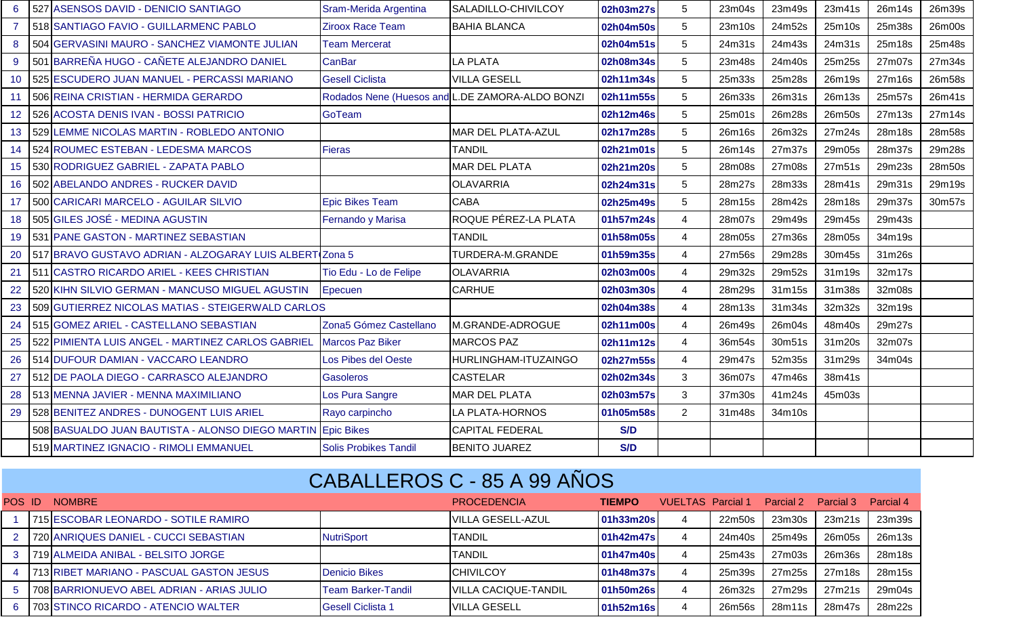| 6              | 527 ASENSOS DAVID - DENICIO SANTIAGO                    | Sram-Merida Argentina        | SALADILLO-CHIVILCOY                             | 02h03m27s  | 5              | 23m04s | 23m49s | 23m41s | 26m14s | 26m39s |
|----------------|---------------------------------------------------------|------------------------------|-------------------------------------------------|------------|----------------|--------|--------|--------|--------|--------|
| $\overline{7}$ | 518 SANTIAGO FAVIO - GUILLARMENC PABLO                  | <b>Ziroox Race Team</b>      | <b>BAHIA BLANCA</b>                             | 02h04m50s  | 5              | 23m10s | 24m52s | 25m10s | 25m38s | 26m00s |
| 8              | 504 GERVASINI MAURO - SANCHEZ VIAMONTE JULIAN           | <b>Team Mercerat</b>         |                                                 | 02h04m51s  | 5              | 24m31s | 24m43s | 24m31s | 25m18s | 25m48s |
| 9              | 501 BARREÑA HUGO - CAÑETE ALEJANDRO DANIEL              | <b>CanBar</b>                | LA PLATA                                        | 02h08m34s  | 5              | 23m48s | 24m40s | 25m25s | 27m07s | 27m34s |
| 10             | 525 ESCUDERO JUAN MANUEL - PERCASSI MARIANO             | <b>Gesell Ciclista</b>       | <b>VILLA GESELL</b>                             | 02h11m34s  | 5              | 25m33s | 25m28s | 26m19s | 27m16s | 26m58s |
| 11             | 506 REINA CRISTIAN - HERMIDA GERARDO                    |                              | Rodados Nene (Huesos and L.DE ZAMORA-ALDO BONZI | 02h11m55s  | 5              | 26m33s | 26m31s | 26m13s | 25m57s | 26m41s |
| 12             | 526 ACOSTA DENIS IVAN - BOSSI PATRICIO                  | GoTeam                       |                                                 | 02h12m46s  | 5              | 25m01s | 26m28s | 26m50s | 27m13s | 27m14s |
| 13             | 529 LEMME NICOLAS MARTIN - ROBLEDO ANTONIO              |                              | <b>MAR DEL PLATA-AZUL</b>                       | 02h17m28s  | 5              | 26m16s | 26m32s | 27m24s | 28m18s | 28m58s |
| 14             | 524 ROUMEC ESTEBAN - LEDESMA MARCOS                     | <b>Fieras</b>                | <b>TANDIL</b>                                   | 02h21m01s  | 5              | 26m14s | 27m37s | 29m05s | 28m37s | 29m28s |
| 15             | 530 RODRIGUEZ GABRIEL - ZAPATA PABLO                    |                              | <b>MAR DEL PLATA</b>                            | 02h21m20s  | 5              | 28m08s | 27m08s | 27m51s | 29m23s | 28m50s |
| 16             | 502 ABELANDO ANDRES - RUCKER DAVID                      |                              | <b>OLAVARRIA</b>                                | 02h24m31s  | 5              | 28m27s | 28m33s | 28m41s | 29m31s | 29m19s |
| 17             | 500 CARICARI MARCELO - AGUILAR SILVIO                   | <b>Epic Bikes Team</b>       | <b>CABA</b>                                     | 02h25m49s  | 5              | 28m15s | 28m42s | 28m18s | 29m37s | 30m57s |
| 18             | 505 GILES JOSÉ - MEDINA AGUSTIN                         | Fernando y Marisa            | ROQUE PÉREZ-LA PLATA                            | 01h57m24s  | $\overline{4}$ | 28m07s | 29m49s | 29m45s | 29m43s |        |
| 19             | 531 PANE GASTON - MARTINEZ SEBASTIAN                    |                              | <b>TANDIL</b>                                   | 01h58m05s  | $\overline{4}$ | 28m05s | 27m36s | 28m05s | 34m19s |        |
| 20             | 517 BRAVO GUSTAVO ADRIAN - ALZOGARAY LUIS ALBERT Zona 5 |                              | TURDERA-M.GRANDE                                | 01h59m35s  | $\overline{4}$ | 27m56s | 29m28s | 30m45s | 31m26s |        |
| 21             | 511 CASTRO RICARDO ARIEL - KEES CHRISTIAN               | Tio Edu - Lo de Felipe       | <b>OLAVARRIA</b>                                | 02h03m00s  | $\overline{4}$ | 29m32s | 29m52s | 31m19s | 32m17s |        |
| 22             | 520 KIHN SILVIO GERMAN - MANCUSO MIGUEL AGUSTIN         | Epecuen                      | <b>CARHUE</b>                                   | 02h03m30s  | $\overline{4}$ | 28m29s | 31m15s | 31m38s | 32m08s |        |
| 23             | 509 GUTIERREZ NICOLAS MATIAS - STEIGERWALD CARLOS       |                              |                                                 | 02h04m38s  | $\overline{4}$ | 28m13s | 31m34s | 32m32s | 32m19s |        |
| 24             | 515 GOMEZ ARIEL - CASTELLANO SEBASTIAN                  | Zona5 Gómez Castellano       | M.GRANDE-ADROGUE                                | 02h11m00s  | $\overline{4}$ | 26m49s | 26m04s | 48m40s | 29m27s |        |
| 25             | 522 PIMIENTA LUIS ANGEL - MARTINEZ CARLOS GABRIEL       | <b>Marcos Paz Biker</b>      | <b>MARCOS PAZ</b>                               | 02h11m12s  | $\overline{4}$ | 36m54s | 30m51s | 31m20s | 32m07s |        |
| 26             | 514 DUFOUR DAMIAN - VACCARO LEANDRO                     | Los Pibes del Oeste          | HURLINGHAM-ITUZAINGO                            | 02h27m55s  | $\overline{4}$ | 29m47s | 52m35s | 31m29s | 34m04s |        |
| 27             | 512 DE PAOLA DIEGO - CARRASCO ALEJANDRO                 | <b>Gasoleros</b>             | <b>CASTELAR</b>                                 | 02h02m34s  | 3              | 36m07s | 47m46s | 38m41s |        |        |
| 28             | 513 MENNA JAVIER - MENNA MAXIMILIANO                    | Los Pura Sangre              | MAR DEL PLATA                                   | 02h03m57s  | 3              | 37m30s | 41m24s | 45m03s |        |        |
| 29             | 528 BENITEZ ANDRES - DUNOGENT LUIS ARIEL                | Rayo carpincho               | LA PLATA-HORNOS                                 | 01h05m58s  | $\overline{2}$ | 31m48s | 34m10s |        |        |        |
|                | 508 BASUALDO JUAN BAUTISTA - ALONSO DIEGO MARTIN        | <b>Epic Bikes</b>            | <b>CAPITAL FEDERAL</b>                          | <b>S/D</b> |                |        |        |        |        |        |
|                | 519 MARTINEZ IGNACIO - RIMOLI EMMANUEL                  | <b>Solis Probikes Tandil</b> | <b>BENITO JUAREZ</b>                            | S/D        |                |        |        |        |        |        |

## CABALLEROS C - 85 A 99 AÑOS

| POS ID | <b>NOMBRE</b>                                 |                           | <b>PROCEDENCIA</b>           | <b>TIEMPO</b> | VUELTAS Parcial 1 |        | Parcial 2 | Parcial 3 | Parcial 4 |
|--------|-----------------------------------------------|---------------------------|------------------------------|---------------|-------------------|--------|-----------|-----------|-----------|
|        | 715 ESCOBAR LEONARDO - SOTILE RAMIRO          |                           | <b>IVILLA GESELL-AZUL</b>    | 01h33m20s     |                   | 22m50s | 23m30s    | 23m21s    | 23m39s    |
|        | 2    720 ANRIQUES DANIEL - CUCCI SEBASTIAN    | NutriSport                | <b>TANDIL</b>                | 01h42m47s     |                   | 24m40s | 25m49s    | 26m05s    | 26m13s    |
|        | 3   719 ALMEIDA ANIBAL - BELSITO JORGE        |                           | TANDIL                       | 01h47m40s     |                   | 25m43s | 27m03s    | 26m36s    | 28m18s    |
|        | 4   713 RIBET MARIANO - PASCUAL GASTON JESUS  | <b>Denicio Bikes</b>      | <b>CHIVILCOY</b>             | 01h48m37s     |                   | 25m39s | 27m25s    | 27m18s    | 28m15s    |
|        | 5   708 BARRIONUEVO ABEL ADRIAN - ARIAS JULIO | <b>Team Barker-Tandil</b> | <b>IVILLA CACIQUE-TANDIL</b> | 01h50m26s     |                   | 26m32s | 27m29s    | 27m21s    | 29m04s    |
|        | 6   703 STINCO RICARDO - ATENCIO WALTER       | <b>Gesell Ciclista 1</b>  | <b>IVILLA GESELL</b>         | 01h52m16s     |                   | 26m56s | 28m11s    | 28m47s    | 28m22s    |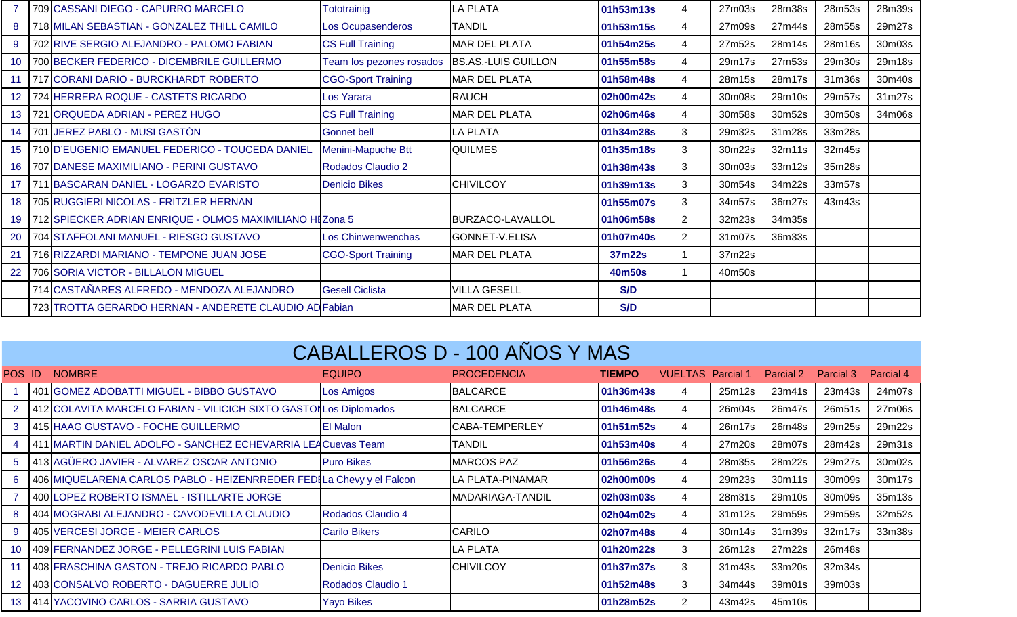|                 | 709 CASSANI DIEGO - CAPURRO MARCELO                      | Tototrainig               | <b>LA PLATA</b>         | 01h53m13s  | 4              | 27m03s | 28m38s | 28m53s | 28m39s |
|-----------------|----------------------------------------------------------|---------------------------|-------------------------|------------|----------------|--------|--------|--------|--------|
| 8               | 718 MILAN SEBASTIAN - GONZALEZ THILL CAMILO              | Los Ocupasenderos         | <b>TANDIL</b>           | 01h53m15s  | 4              | 27m09s | 27m44s | 28m55s | 29m27s |
| 9               | 702 RIVE SERGIO ALEJANDRO - PALOMO FABIAN                | <b>CS Full Training</b>   | <b>MAR DEL PLATA</b>    | 01h54m25s  | 4              | 27m52s | 28m14s | 28m16s | 30m03s |
| 10 <sup>°</sup> | 700 BECKER FEDERICO - DICEMBRILE GUILLERMO               | Team los pezones rosados  | BS.AS.-LUIS GUILLON     | 01h55m58s  | 4              | 29m17s | 27m53s | 29m30s | 29m18s |
| 11              | 717 CORANI DARIO - BURCKHARDT ROBERTO                    | <b>CGO-Sport Training</b> | <b>MAR DEL PLATA</b>    | 01h58m48s  | 4              | 28m15s | 28m17s | 31m36s | 30m40s |
| 12              | 724 HERRERA ROQUE - CASTETS RICARDO                      | Los Yarara                | <b>RAUCH</b>            | 02h00m42s  | 4              | 30m08s | 29m10s | 29m57s | 31m27s |
| 13              | 721 ORQUEDA ADRIAN - PEREZ HUGO                          | <b>CS Full Training</b>   | <b>MAR DEL PLATA</b>    | 02h06m46s  | 4              | 30m58s | 30m52s | 30m50s | 34m06s |
| 14              | 701 JEREZ PABLO - MUSI GASTÓN                            | <b>Gonnet bell</b>        | <b>LA PLATA</b>         | 01h34m28s  | 3              | 29m32s | 31m28s | 33m28s |        |
| 15              | 710 D'EUGENIO EMANUEL FEDERICO - TOUCEDA DANIEL          | Menini-Mapuche Btt        | <b>QUILMES</b>          | 01h35m18s  | 3              | 30m22s | 32m11s | 32m45s |        |
| 16              | 707 DANESE MAXIMILIANO - PERINI GUSTAVO                  | Rodados Claudio 2         |                         | 01h38m43s  | 3              | 30m03s | 33m12s | 35m28s |        |
| 17              | 711 BASCARAN DANIEL - LOGARZO EVARISTO                   | <b>Denicio Bikes</b>      | <b>CHIVILCOY</b>        | 01h39m13s  | 3              | 30m54s | 34m22s | 33m57s |        |
| 18              | 705 RUGGIERI NICOLAS - FRITZLER HERNAN                   |                           |                         | 01h55m07s  | 3              | 34m57s | 36m27s | 43m43s |        |
| 19              | 712 SPIECKER ADRIAN ENRIQUE - OLMOS MAXIMILIANO HEZONA 5 |                           | <b>BURZACO-LAVALLOL</b> | 01h06m58s  | $\overline{2}$ | 32m23s | 34m35s |        |        |
| 20              | 704 STAFFOLANI MANUEL - RIESGO GUSTAVO                   | Los Chinwenwenchas        | GONNET-V.ELISA          | 01h07m40s  | $\overline{2}$ | 31m07s | 36m33s |        |        |
| 21              | 716 RIZZARDI MARIANO - TEMPONE JUAN JOSE                 | <b>CGO-Sport Training</b> | <b>MAR DEL PLATA</b>    | 37m22s     |                | 37m22s |        |        |        |
| 22              | 706 SORIA VICTOR - BILLALON MIGUEL                       |                           |                         | 40m50s     | 1              | 40m50s |        |        |        |
|                 | 714 CASTAÑARES ALFREDO - MENDOZA ALEJANDRO               | <b>Gesell Ciclista</b>    | <b>VILLA GESELL</b>     | <b>S/D</b> |                |        |        |        |        |
|                 | 723 TROTTA GERARDO HERNAN - ANDERETE CLAUDIO AD Fabian   |                           | <b>MAR DEL PLATA</b>    | <b>S/D</b> |                |        |        |        |        |

| <b>CABALLEROS D - 100 ANOS Y MAS</b> |  |
|--------------------------------------|--|
|                                      |  |
|                                      |  |
|                                      |  |

| POS ID | <b>NOMBRE</b>                                                        | <b>EQUIPO</b>        | <b>PROCEDENCIA</b> | <b>TIEMPO</b> | <b>VUELTAS</b> Parcial 1 |        | <b>Parcial 2</b> | <b>Parcial 3</b> | Parcial 4 |
|--------|----------------------------------------------------------------------|----------------------|--------------------|---------------|--------------------------|--------|------------------|------------------|-----------|
|        | 401 GOMEZ ADOBATTI MIGUEL - BIBBO GUSTAVO                            | Los Amigos           | <b>BALCARCE</b>    | 01h36m43s     | 4                        | 25m12s | 23m41s           | 23m43s           | 24m07s    |
|        | 412 COLAVITA MARCELO FABIAN - VILICICH SIXTO GASTONLOS Diplomados    |                      | <b>BALCARCE</b>    | 01h46m48s     | 4                        | 26m04s | 26m47s           | 26m51s           | 27m06s    |
| 3      | 415 HAAG GUSTAVO - FOCHE GUILLERMO                                   | <b>El Malon</b>      | CABA-TEMPERLEY     | 01h51m52s     | 4                        | 26m17s | 26m48s           | 29m25s           | 29m22s    |
|        | 411 MARTIN DANIEL ADOLFO - SANCHEZ ECHEVARRIA LEACuevas Team         |                      | <b>TANDIL</b>      | 01h53m40s     | 4                        | 27m20s | 28m07s           | 28m42s           | 29m31s    |
| 5      | 413 AGÜERO JAVIER - ALVAREZ OSCAR ANTONIO                            | <b>Puro Bikes</b>    | <b>MARCOS PAZ</b>  | 01h56m26s     | 4                        | 28m35s | 28m22s           | 29m27s           | 30m02s    |
| 6      | 406 MIQUELARENA CARLOS PABLO - HEIZENRREDER FEDILA Chevy y el Falcon |                      | LA PLATA-PINAMAR   | 02h00m00s     | 4                        | 29m23s | 30m11s           | 30m09s           | 30m17s    |
|        | 400 LOPEZ ROBERTO ISMAEL - ISTILLARTE JORGE                          |                      | MADARIAGA-TANDIL   | 02h03m03s     | 4                        | 28m31s | 29m10s           | 30m09s           | 35m13s    |
|        | 404 MOGRABI ALEJANDRO - CAVODEVILLA CLAUDIO                          | Rodados Claudio 4    |                    | 02h04m02s     | 4                        | 31m12s | 29m59s           | 29m59s           | 32m52s    |
| 9      | 405 VERCESI JORGE - MEIER CARLOS                                     | <b>Carilo Bikers</b> | <b>CARILO</b>      | 02h07m48s     | 4                        | 30m14s | 31m39s           | 32m17s           | 33m38s    |
| 10     | 409 FERNANDEZ JORGE - PELLEGRINI LUIS FABIAN                         |                      | <b>LA PLATA</b>    | 01h20m22s     | 3                        | 26m12s | 27m22s           | 26m48s           |           |
|        | 408 FRASCHINA GASTON - TREJO RICARDO PABLO                           | Denicio Bikes        | <b>CHIVILCOY</b>   | 01h37m37s     | 3                        | 31m43s | 33m20s           | 32m34s           |           |
| 12     | 403 CONSALVO ROBERTO - DAGUERRE JULIO                                | Rodados Claudio 1    |                    | 01h52m48s     | 3                        | 34m44s | 39m01s           | 39m03s           |           |
| 13     | 1414   YACOVINO CARLOS - SARRIA GUSTAVO                              | <b>Yayo Bikes</b>    |                    | 01h28m52s     | 2                        | 43m42s | 45m10s           |                  |           |